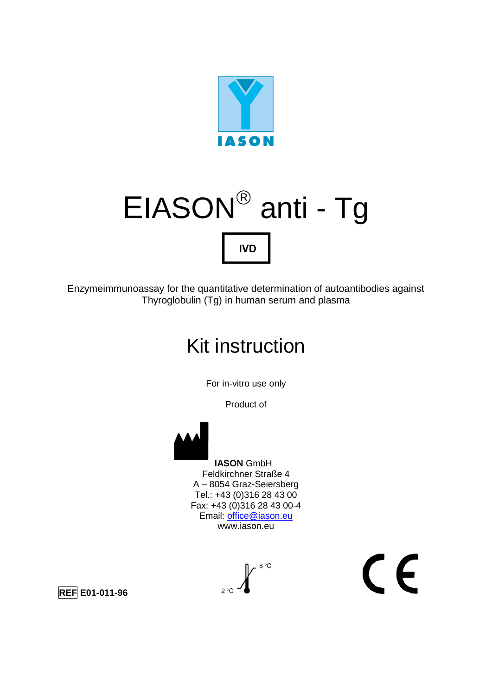

# EIASON anti - Tg **IVD**

Enzymeimmunoassay for the quantitative determination of autoantibodies against Thyroglobulin (Tg) in human serum and plasma

# Kit instruction

For in-vitro use only

Product of



 **IASON** GmbH Feldkirchner Straße 4 A – 8054 Graz-Seiersberg Tel.: +43 (0)316 28 43 00 Fax: +43 (0)316 28 43 00-4 Email: [office@iason.eu](mailto:office@iason.eu) www.iason.eu

 $\int_{2^{\circ}\mathbb{C}}\int_{0}^{8^{\circ}\mathbb{C}}$ 

 $\epsilon$ 

**REF E01-011-96**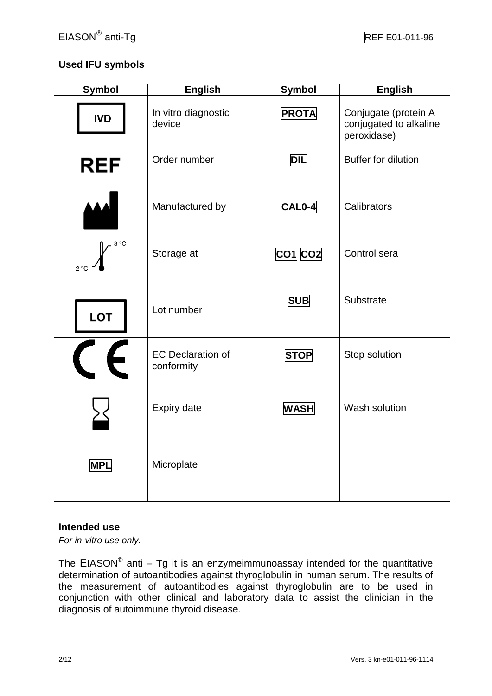#### **Used IFU symbols**

| <b>Symbol</b>        | <b>English</b>                         | <b>Symbol</b>  | <b>English</b>                                                |
|----------------------|----------------------------------------|----------------|---------------------------------------------------------------|
| <b>IVD</b>           | In vitro diagnostic<br>device          | <b>PROTA</b>   | Conjugate (protein A<br>conjugated to alkaline<br>peroxidase) |
| <b>REF</b>           | Order number                           | <b>DIL</b>     | <b>Buffer for dilution</b>                                    |
|                      | Manufactured by                        | <b>CAL0-4</b>  | Calibrators                                                   |
| 8 °C<br>$2^{\circ}C$ | Storage at                             | <b>CO1 CO2</b> | Control sera                                                  |
| <b>LOT</b>           | Lot number                             | <b>SUB</b>     | Substrate                                                     |
| $\mathbf C$          | <b>EC Declaration of</b><br>conformity | <b>STOP</b>    | Stop solution                                                 |
|                      | Expiry date                            | <b>WASH</b>    | Wash solution                                                 |
| <b>MPL</b>           | Microplate                             |                |                                                               |

#### **Intended use**

*For in-vitro use only.*

The EIASON® anti – Tg it is an enzymeimmunoassay intended for the quantitative determination of autoantibodies against thyroglobulin in human serum. The results of the measurement of autoantibodies against thyroglobulin are to be used in conjunction with other clinical and laboratory data to assist the clinician in the diagnosis of autoimmune thyroid disease.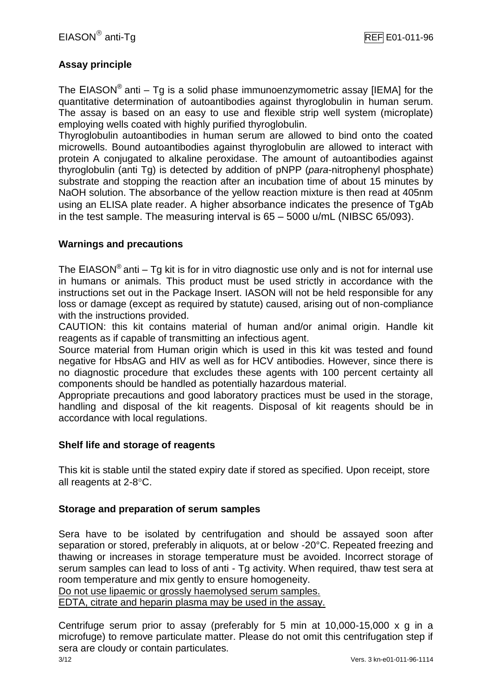## **Assay principle**

The  $EIASON^{\circledast}$  anti – Tg is a solid phase immunoenzymometric assay [IEMA] for the quantitative determination of autoantibodies against thyroglobulin in human serum. The assay is based on an easy to use and flexible strip well system (microplate) employing wells coated with highly purified thyroglobulin.

Thyroglobulin autoantibodies in human serum are allowed to bind onto the coated microwells. Bound autoantibodies against thyroglobulin are allowed to interact with protein A conjugated to alkaline peroxidase. The amount of autoantibodies against thyroglobulin (anti Tg) is detected by addition of pNPP (*para*-nitrophenyl phosphate) substrate and stopping the reaction after an incubation time of about 15 minutes by NaOH solution. The absorbance of the yellow reaction mixture is then read at 405nm using an ELISA plate reader. A higher absorbance indicates the presence of TgAb in the test sample. The measuring interval is 65 – 5000 u/mL (NIBSC 65/093).

#### **Warnings and precautions**

The  $EIASON^@$  anti – Tg kit is for in vitro diagnostic use only and is not for internal use in humans or animals. This product must be used strictly in accordance with the instructions set out in the Package Insert. IASON will not be held responsible for any loss or damage (except as required by statute) caused, arising out of non-compliance with the instructions provided.

CAUTION: this kit contains material of human and/or animal origin. Handle kit reagents as if capable of transmitting an infectious agent.

Source material from Human origin which is used in this kit was tested and found negative for HbsAG and HIV as well as for HCV antibodies. However, since there is no diagnostic procedure that excludes these agents with 100 percent certainty all components should be handled as potentially hazardous material.

Appropriate precautions and good laboratory practices must be used in the storage, handling and disposal of the kit reagents. Disposal of kit reagents should be in accordance with local regulations.

#### **Shelf life and storage of reagents**

This kit is stable until the stated expiry date if stored as specified. Upon receipt, store all reagents at  $2-8$ °C.

#### **Storage and preparation of serum samples**

Sera have to be isolated by centrifugation and should be assayed soon after separation or stored, preferably in aliquots, at or below -20°C. Repeated freezing and thawing or increases in storage temperature must be avoided. Incorrect storage of serum samples can lead to loss of anti - Tg activity. When required, thaw test sera at room temperature and mix gently to ensure homogeneity.

Do not use lipaemic or grossly haemolysed serum samples.

EDTA, citrate and heparin plasma may be used in the assay.

Centrifuge serum prior to assay (preferably for 5 min at 10,000-15,000 x g in a microfuge) to remove particulate matter. Please do not omit this centrifugation step if sera are cloudy or contain particulates.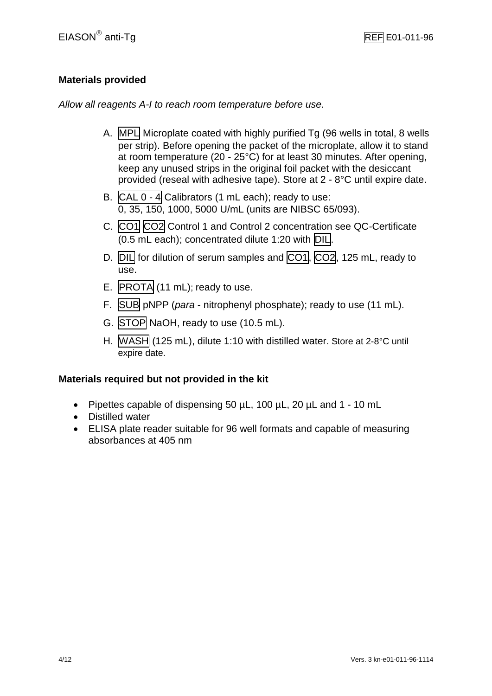#### **Materials provided**

*Allow all reagents A-I to reach room temperature before use.*

- A. MPL Microplate coated with highly purified Tg (96 wells in total, 8 wells per strip). Before opening the packet of the microplate, allow it to stand at room temperature (20 - 25°C) for at least 30 minutes. After opening, keep any unused strips in the original foil packet with the desiccant provided (reseal with adhesive tape). Store at 2 - 8°C until expire date.
- B. CAL 0 4 Calibrators (1 mL each); ready to use: 0, 35, 150, 1000, 5000 U/mL (units are NIBSC 65/093).
- C. CO1 CO2 Control 1 and Control 2 concentration see QC-Certificate  $(0.5$  mL each); concentrated dilute 1:20 with  $\overline{\text{DIL}}$ .
- D. DIL for dilution of serum samples and CO1, CO2, 125 mL, ready to use.
- E. PROTA (11 mL); ready to use.
- F. SUB pNPP (*para* nitrophenyl phosphate); ready to use (11 mL).
- G. STOP NaOH, ready to use (10.5 mL).
- H. WASH (125 mL), dilute 1:10 with distilled water. Store at 2-8°C until expire date.

#### **Materials required but not provided in the kit**

- Pipettes capable of dispensing 50 µL, 100 µL, 20 µL and 1 10 mL
- Distilled water
- ELISA plate reader suitable for 96 well formats and capable of measuring absorbances at 405 nm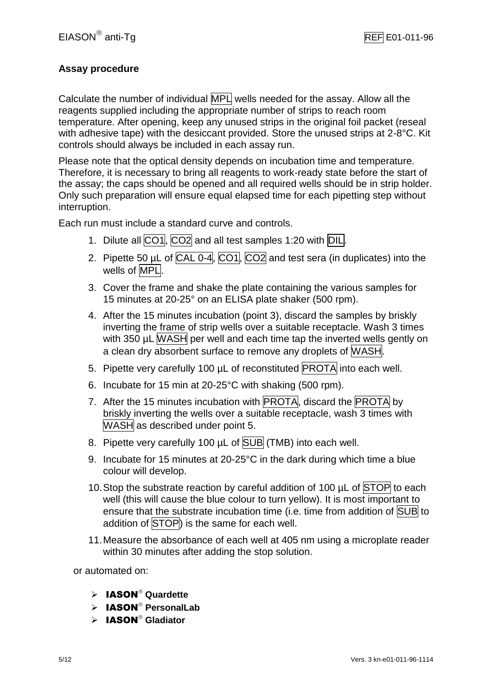#### **Assay procedure**

Calculate the number of individual MPL wells needed for the assay. Allow all the reagents supplied including the appropriate number of strips to reach room temperature. After opening, keep any unused strips in the original foil packet (reseal with adhesive tape) with the desiccant provided. Store the unused strips at 2-8°C. Kit controls should always be included in each assay run.

Please note that the optical density depends on incubation time and temperature. Therefore, it is necessary to bring all reagents to work-ready state before the start of the assay; the caps should be opened and all required wells should be in strip holder. Only such preparation will ensure equal elapsed time for each pipetting step without interruption.

Each run must include a standard curve and controls.

- 1. Dilute all CO1, CO2 and all test samples 1:20 with DIL.
- 2. Pipette 50 µL of CAL 0-4, CO1, CO2 and test sera (in duplicates) into the wells of MPL.
- 3. Cover the frame and shake the plate containing the various samples for 15 minutes at 20-25° on an ELISA plate shaker (500 rpm).
- 4. After the 15 minutes incubation (point 3), discard the samples by briskly inverting the frame of strip wells over a suitable receptacle. Wash 3 times with 350  $\mu$ L WASH per well and each time tap the inverted wells gently on a clean dry absorbent surface to remove any droplets of WASH.
- 5. Pipette very carefully 100 µL of reconstituted **PROTA** into each well.
- 6. Incubate for 15 min at 20-25°C with shaking (500 rpm).
- 7. After the 15 minutes incubation with PROTA, discard the PROTA by briskly inverting the wells over a suitable receptacle, wash 3 times with WASH as described under point 5.
- 8. Pipette very carefully 100 µL of SUB (TMB) into each well.
- 9. Incubate for 15 minutes at 20-25°C in the dark during which time a blue colour will develop.
- 10. Stop the substrate reaction by careful addition of 100 µL of STOP to each well (this will cause the blue colour to turn yellow). It is most important to ensure that the substrate incubation time (i.e. time from addition of SUB to addition of STOP) is the same for each well.
- 11.Measure the absorbance of each well at 405 nm using a microplate reader within 30 minutes after adding the stop solution.

or automated on:

- > **IASON<sup>®</sup>** Quardette
- > IASON<sup>®</sup> PersonalLab
- > **IASON<sup>®</sup> Gladiator**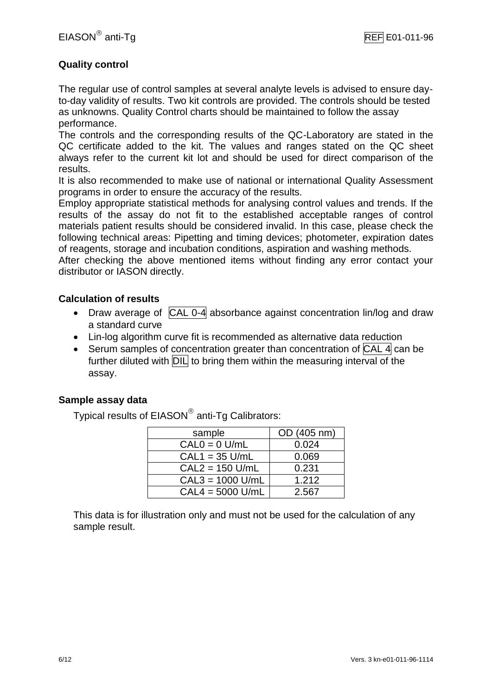#### **Quality control**

The regular use of control samples at several analyte levels is advised to ensure dayto-day validity of results. Two kit controls are provided. The controls should be tested as unknowns. Quality Control charts should be maintained to follow the assay performance.

The controls and the corresponding results of the QC-Laboratory are stated in the QC certificate added to the kit. The values and ranges stated on the QC sheet always refer to the current kit lot and should be used for direct comparison of the results.

It is also recommended to make use of national or international Quality Assessment programs in order to ensure the accuracy of the results.

Employ appropriate statistical methods for analysing control values and trends. If the results of the assay do not fit to the established acceptable ranges of control materials patient results should be considered invalid. In this case, please check the following technical areas: Pipetting and timing devices; photometer, expiration dates of reagents, storage and incubation conditions, aspiration and washing methods.

After checking the above mentioned items without finding any error contact your distributor or IASON directly.

#### **Calculation of results**

- Draw average of CAL 0-4 absorbance against concentration lin/log and draw a standard curve
- Lin-log algorithm curve fit is recommended as alternative data reduction
- Serum samples of concentration greater than concentration of CAL 4 can be further diluted with **DIL** to bring them within the measuring interval of the assay.

#### **Sample assay data**

Typical results of EIASON $^\circledR$  anti-Tg Calibrators:

| sample             | OD (405 nm) |
|--------------------|-------------|
| $CAL0 = 0$ U/mL    | 0.024       |
| $CAL1 = 35$ U/mL   | 0.069       |
| $CAL2 = 150$ U/mL  | 0.231       |
| $CAL3 = 1000$ U/mL | 1.212       |
| $CAL4 = 5000$ U/mL | 2.567       |

This data is for illustration only and must not be used for the calculation of any sample result.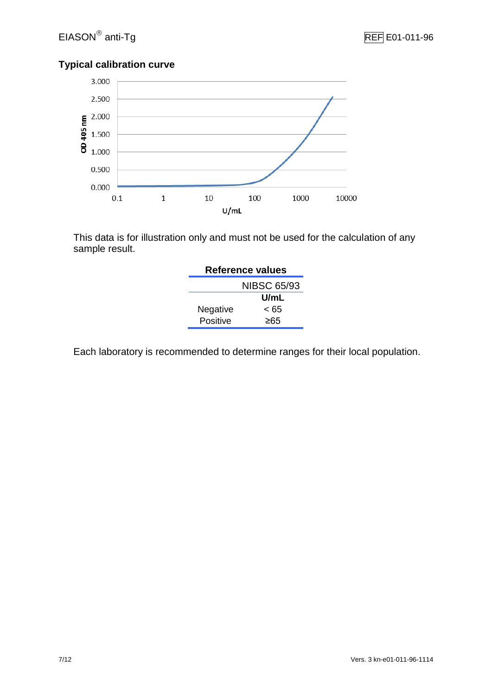# **Typical calibration curve**



This data is for illustration only and must not be used for the calculation of any sample result.

| <b>Reference values</b> |                    |  |
|-------------------------|--------------------|--|
|                         | <b>NIBSC 65/93</b> |  |
|                         | U/mL               |  |
| Negative                | < 65               |  |
| Positive                | ≥65                |  |

Each laboratory is recommended to determine ranges for their local population.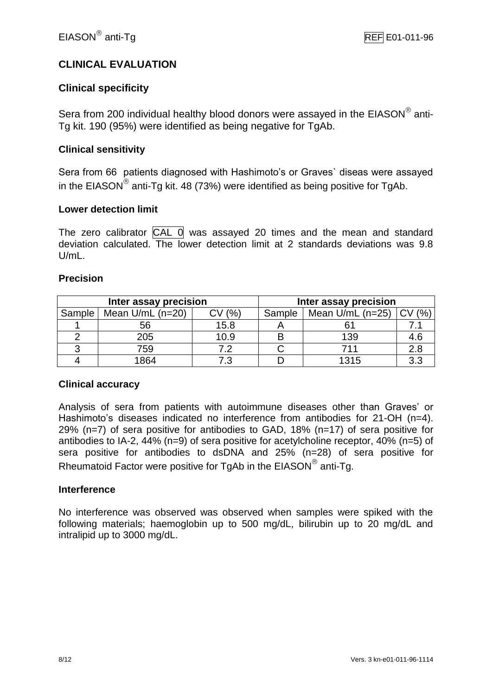## **CLINICAL EVALUATION**

#### **Clinical specificity**

Sera from 200 individual healthy blood donors were assayed in the EIASON $^{\circledR}$  anti-Tg kit. 190 (95%) were identified as being negative for TgAb.

#### **Clinical sensitivity**

Sera from 66 patients diagnosed with Hashimoto's or Graves` diseas were assayed in the EIASON $^\circledR$  anti-Tg kit. 48 (73%) were identified as being positive for TgAb.

#### **Lower detection limit**

The zero calibrator CAL 0 was assayed 20 times and the mean and standard deviation calculated. The lower detection limit at 2 standards deviations was 9.8 U/mL.

#### **Precision**

| Inter assay precision |                    |        | Inter assay precision |                  |       |
|-----------------------|--------------------|--------|-----------------------|------------------|-------|
| Sample                | Mean $U/mL$ (n=20) | CV (%) | Sample                | Mean U/mL (n=25) | CV(%) |
|                       | 56                 | 15.8   |                       |                  |       |
|                       | 205                | 10.9   |                       | 139              |       |
|                       | 759                |        |                       | 711              |       |
|                       | 1864               |        |                       | 1315             | 3.3   |

#### **Clinical accuracy**

Analysis of sera from patients with autoimmune diseases other than Graves' or Hashimoto's diseases indicated no interference from antibodies for 21-OH (n=4). 29% (n=7) of sera positive for antibodies to GAD, 18% (n=17) of sera positive for antibodies to IA-2, 44% (n=9) of sera positive for acetylcholine receptor, 40% (n=5) of sera positive for antibodies to dsDNA and 25% (n=28) of sera positive for Rheumatoid Factor were positive for TgAb in the EIASON $^{\circledR}$  anti-Tg.

#### **Interference**

No interference was observed was observed when samples were spiked with the following materials; haemoglobin up to 500 mg/dL, bilirubin up to 20 mg/dL and intralipid up to 3000 mg/dL.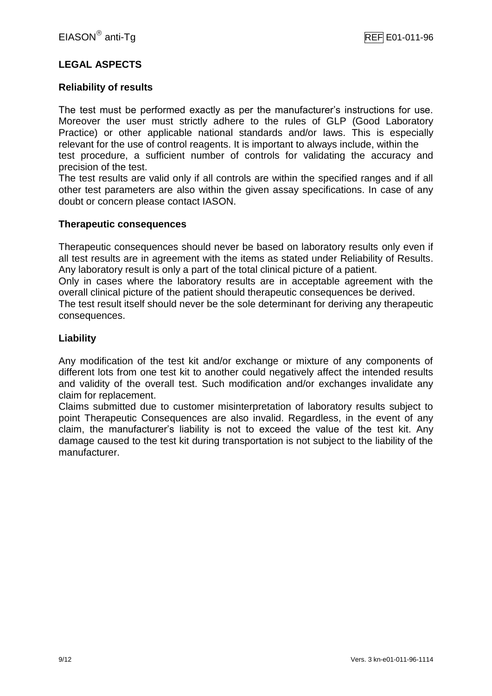#### **LEGAL ASPECTS**

#### **Reliability of results**

The test must be performed exactly as per the manufacturer's instructions for use. Moreover the user must strictly adhere to the rules of GLP (Good Laboratory Practice) or other applicable national standards and/or laws. This is especially relevant for the use of control reagents. It is important to always include, within the test procedure, a sufficient number of controls for validating the accuracy and precision of the test.

The test results are valid only if all controls are within the specified ranges and if all other test parameters are also within the given assay specifications. In case of any doubt or concern please contact IASON.

#### **Therapeutic consequences**

Therapeutic consequences should never be based on laboratory results only even if all test results are in agreement with the items as stated under Reliability of Results. Any laboratory result is only a part of the total clinical picture of a patient.

Only in cases where the laboratory results are in acceptable agreement with the overall clinical picture of the patient should therapeutic consequences be derived.

The test result itself should never be the sole determinant for deriving any therapeutic consequences.

#### **Liability**

Any modification of the test kit and/or exchange or mixture of any components of different lots from one test kit to another could negatively affect the intended results and validity of the overall test. Such modification and/or exchanges invalidate any claim for replacement.

Claims submitted due to customer misinterpretation of laboratory results subject to point Therapeutic Consequences are also invalid. Regardless, in the event of any claim, the manufacturer's liability is not to exceed the value of the test kit. Any damage caused to the test kit during transportation is not subject to the liability of the manufacturer.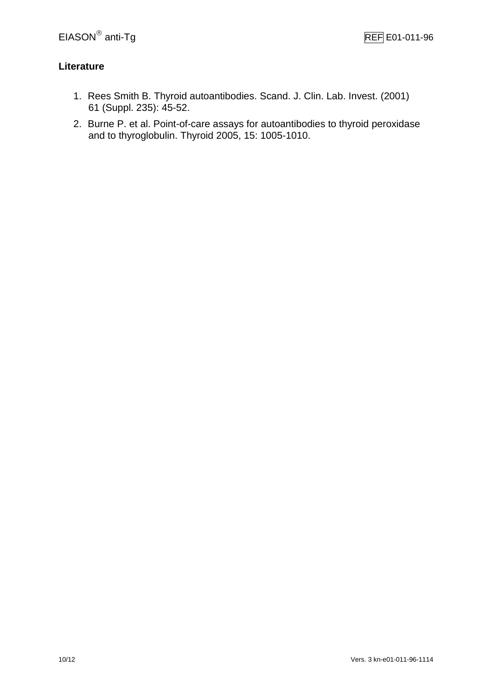#### **Literature**

- 1. Rees Smith B. Thyroid autoantibodies. Scand. J. Clin. Lab. Invest. (2001) 61 (Suppl. 235): 45-52.
- 2. Burne P. et al. Point-of-care assays for autoantibodies to thyroid peroxidase and to thyroglobulin. Thyroid 2005, 15: 1005-1010.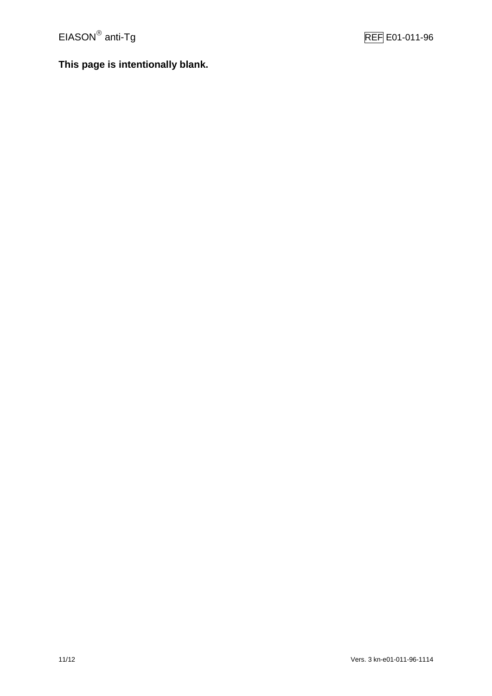# **This page is intentionally blank.**